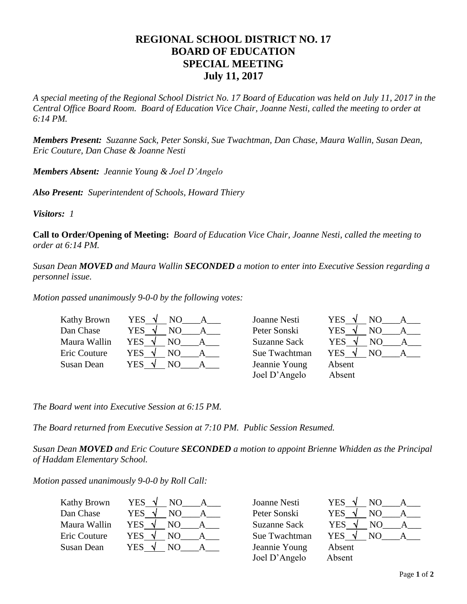## **REGIONAL SCHOOL DISTRICT NO. 17 BOARD OF EDUCATION SPECIAL MEETING July 11, 2017**

*A special meeting of the Regional School District No. 17 Board of Education was held on July 11, 2017 in the Central Office Board Room. Board of Education Vice Chair, Joanne Nesti, called the meeting to order at 6:14 PM.*

*Members Present: Suzanne Sack, Peter Sonski, Sue Twachtman, Dan Chase, Maura Wallin, Susan Dean, Eric Couture, Dan Chase & Joanne Nesti*

*Members Absent: Jeannie Young & Joel D'Angelo*

*Also Present: Superintendent of Schools, Howard Thiery*

*Visitors: 1*

**Call to Order/Opening of Meeting:** *Board of Education Vice Chair, Joanne Nesti, called the meeting to order at 6:14 PM.* 

*Susan Dean MOVED and Maura Wallin SECONDED a motion to enter into Executive Session regarding a personnel issue.*

*Motion passed unanimously 9-0-0 by the following votes:*

| <b>Kathy Brown</b> | YES              | Joanne Nesti        | <b>YES</b><br>N <sub>O</sub> |
|--------------------|------------------|---------------------|------------------------------|
| Dan Chase          | YES.             | Peter Sonski        | <b>YES</b><br>NO.            |
| Maura Wallin       | <b>YES</b><br>NΟ | <b>Suzanne Sack</b> | <b>YES</b>                   |
| Eric Couture       | YES<br>NΟ        | Sue Twachtman       | <b>YES</b><br>NΟ             |
| Susan Dean         | YES<br>NΟ        | Jeannie Young       | Absent                       |
|                    |                  | Joel D'Angelo       | Absent                       |

*The Board went into Executive Session at 6:15 PM.*

*The Board returned from Executive Session at 7:10 PM. Public Session Resumed.*

*Susan Dean MOVED and Eric Couture SECONDED a motion to appoint Brienne Whidden as the Principal of Haddam Elementary School.* 

*Motion passed unanimously 9-0-0 by Roll Call:*

| Kathy Brown  | <b>YES</b> | NO. |  |
|--------------|------------|-----|--|
| Dan Chase    | <b>YES</b> | NO  |  |
| Maura Wallin | <b>YES</b> | NO. |  |
| Eric Couture | <b>YES</b> | NO. |  |
| Susan Dean   | YES        | NΟ  |  |

Jeannie Young Absent Joel D'Angelo Absent